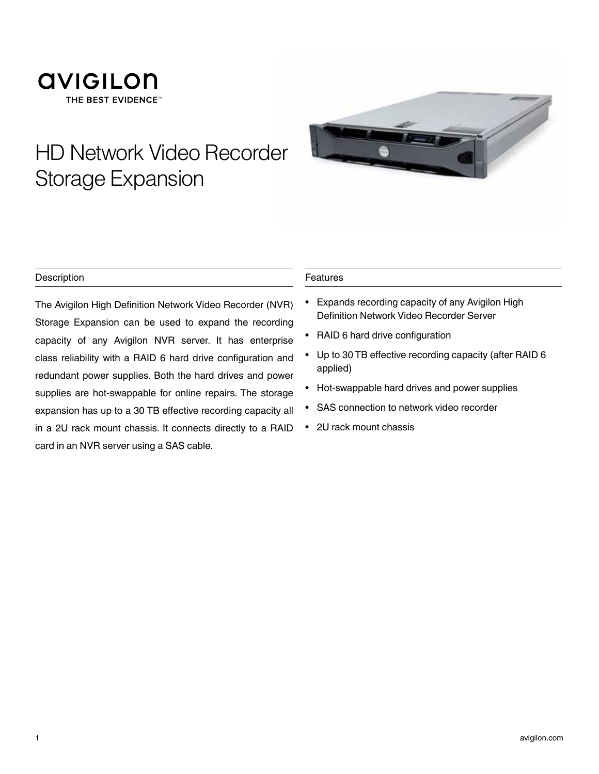### **AVIGILON** THE BEST EVIDENCE<sup>®</sup>

# HD Network Video Recorder Storage Expansion



### **Description**

The Avigilon High Definition Network Video Recorder (NVR) Storage Expansion can be used to expand the recording capacity of any Avigilon NVR server. It has enterprise class reliability with a RAID 6 hard drive configuration and redundant power supplies. Both the hard drives and power supplies are hot-swappable for online repairs. The storage expansion has up to a 30 TB effective recording capacity all in a 2U rack mount chassis. It connects directly to a RAID card in an NVR server using a SAS cable.

#### Features

- Expands recording capacity of any Avigilon High Definition Network Video Recorder Server
- RAID 6 hard drive configuration
- Up to 30 TB effective recording capacity (after RAID 6 applied)
- Hot-swappable hard drives and power supplies
- SAS connection to network video recorder
- 2U rack mount chassis